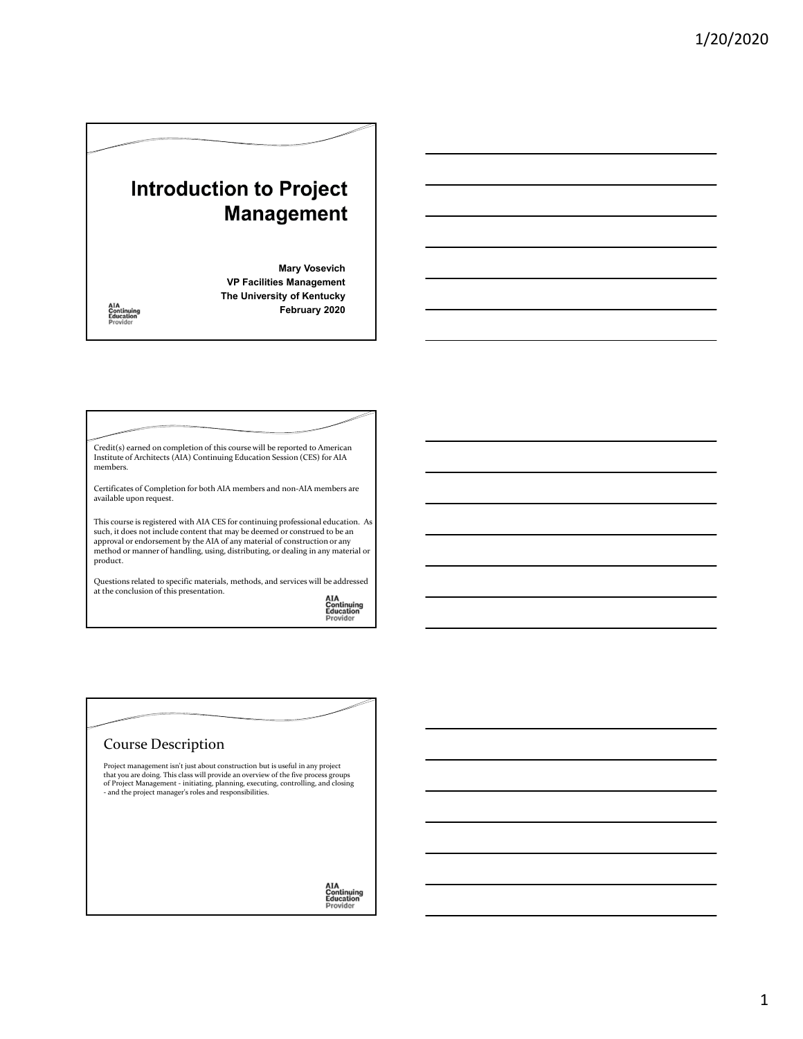# **Introduction to Project Management**

**Mary Vosevich VP Facilities Management The University of Kentucky February 2020**

AIA<br>Continuing<br>Education

Credit(s) earned on completion of this course will be reported to American Institute of Architects (AIA) Continuing Education Session (CES) for AIA members.

Certificates of Completion for both AIA members and non‐AIA members are available upon request.

This course is registered with AIA CES for continuing professional education. As such, it does not include content that may be deemed or construed to be an approval or endorsement by the AIA of any material of construction or any method or manner of handling, using, distributing, or dealing in any material or product.

Questions related to specific materials, methods, and services will be addressed at the conclusion of this presentation.

**AIA<br>Continuing<br>Education**<br>Provider

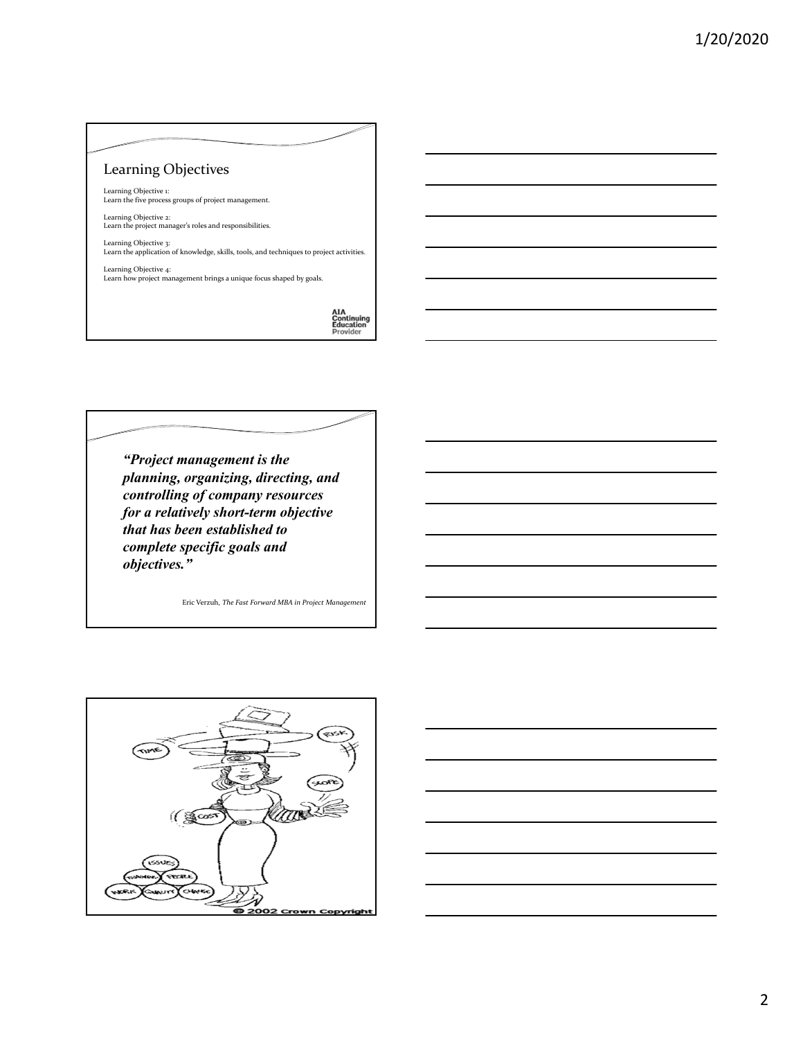### Learning Objectives

Learning Objective 1: Learn the five process groups of project management.

Learning Objective 2: Learn the project manager's roles and responsibilities.

Learning Objective 3: Learn the application of knowledge, skills, tools, and techniques to project activities.

Learning Objective 4: Learn how project management brings a unique focus shaped by goals.

**AIA<br>Continuing<br>Education**<br>Provider

*"Project management is the planning, organizing, directing, and controlling of company resources for a relatively short-term objective that has been established to complete specific goals and objectives."*

Eric Verzuh, *The Fast Forward MBA in Project Management*



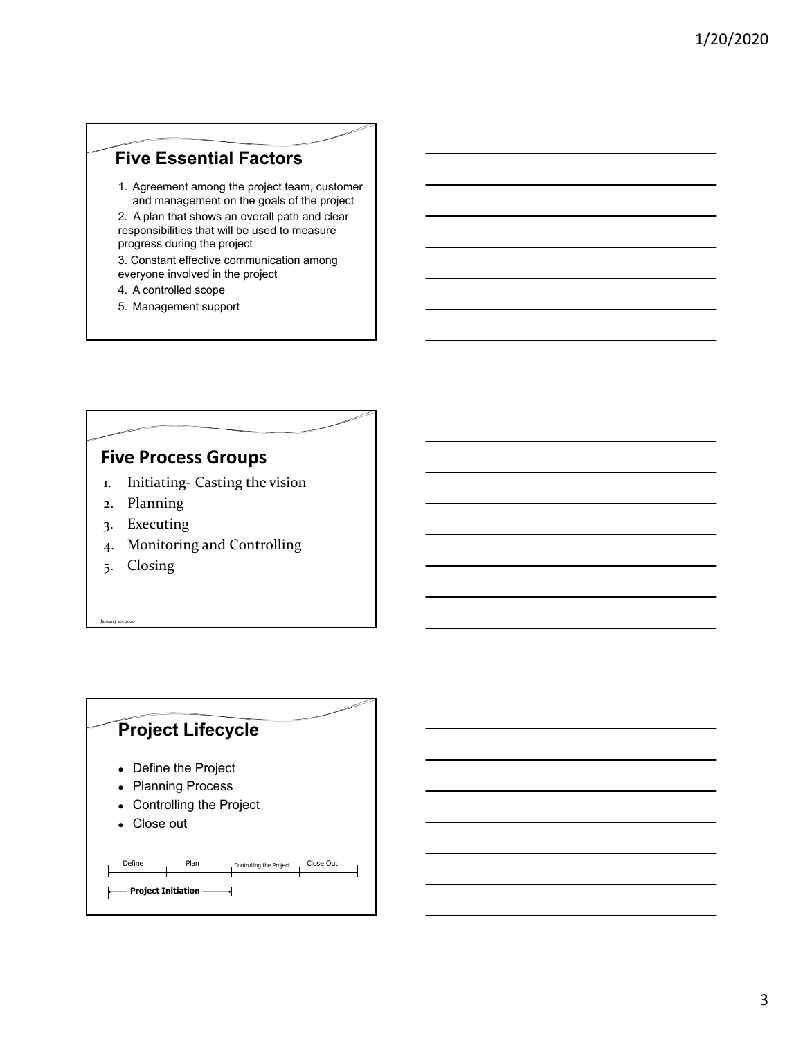## **Five Essential Factors**

1. Agreement among the project team, customer and management on the goals of the project

2. A plan that shows an overall path and clear responsibilities that will be used to measure progress during the project

3. Constant effective communication among everyone involved in the project

- 4. A controlled scope
- 5. Management support

## **Five Process Groups**

- 1. Initiating‐ Casting the vision
- 2. Planning
- 3. Executing
- 4. Monitoring and Controlling
- 5. Closing

Jary 20, 2020

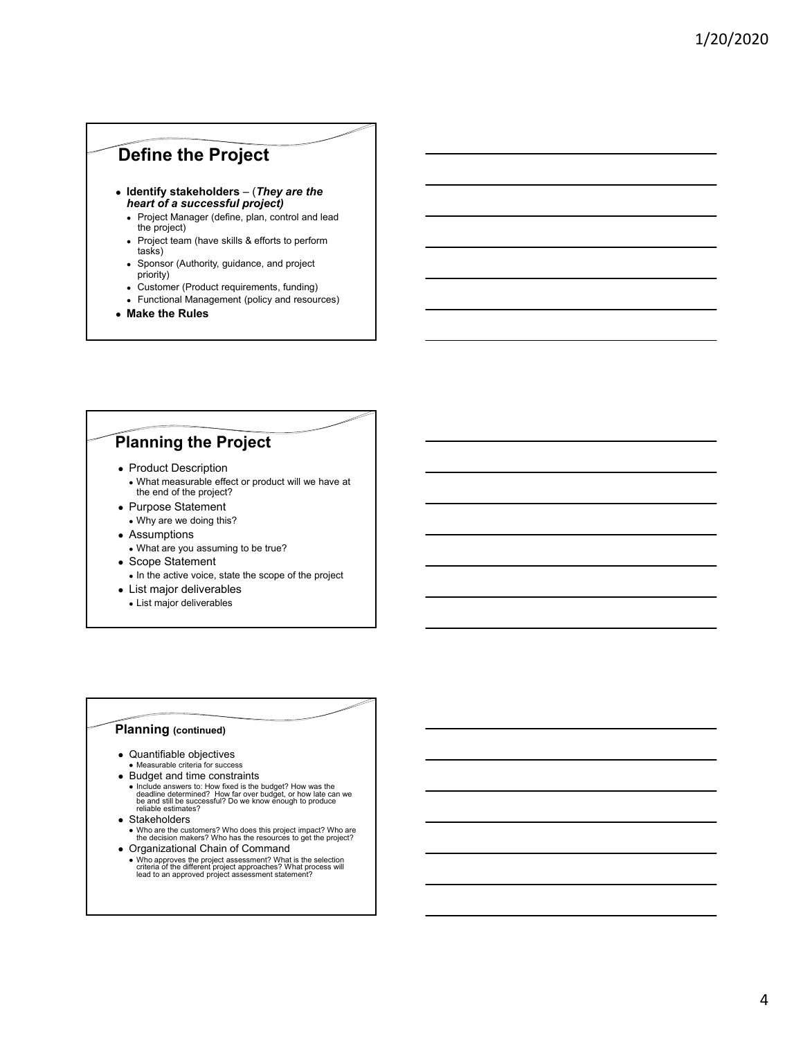## **Define the Project**

- **Identify stakeholders** (*They are the heart of a successful project)*
	- Project Manager (define, plan, control and lead the project)
	- Project team (have skills & efforts to perform tasks)
	- Sponsor (Authority, guidance, and project priority)
	- Customer (Product requirements, funding)
	- Functional Management (policy and resources)
- **Make the Rules**

## **Planning the Project**

- Product Description
	- What measurable effect or product will we have at the end of the project?
- Purpose Statement Why are we doing this?
- Assumptions
	- What are you assuming to be true?
- Scope Statement
- In the active voice, state the scope of the project
- List major deliverables
	- List major deliverables

#### **Planning (continued)**

- Quantifiable objectives
	- Measurable criteria for success
- Budget and time constraints Include answers to: How fixed is the budget? How was the deadline determined? How far over budget, or how late can we be and still be successful? Do we know enough to produce reliable estimates?
- Stakeholders
- Who are the customers? Who does this project impact? Who are the decision makers? Who has the resources to get the project?
- Organizational Chain of Command Who approves the project assessment? What is the selection criteria of the different project approaches? What process will lead to an approved project assessment statement?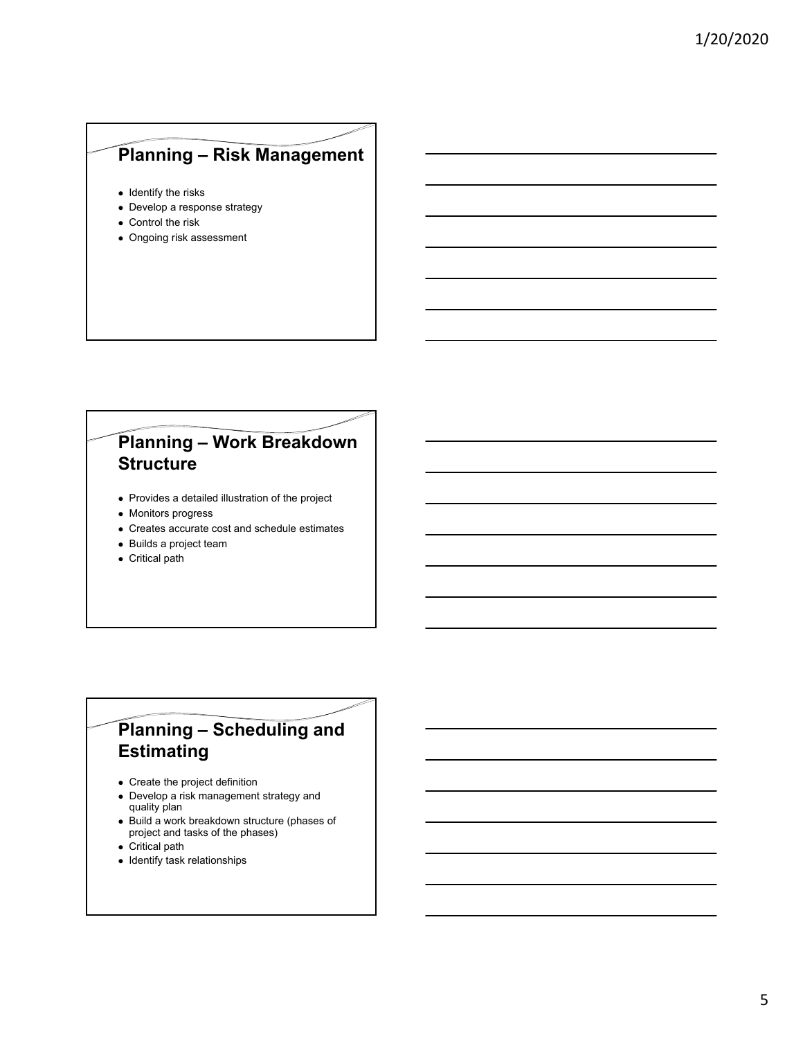# **Planning – Risk Management**

- $\bullet$  Identify the risks
- Develop a response strategy
- Control the risk
- Ongoing risk assessment

## **Planning – Work Breakdown Structure**

- Provides a detailed illustration of the project
- Monitors progress
- Creates accurate cost and schedule estimates
- Builds a project team
- Critical path

## **Planning – Scheduling and Estimating**

- Create the project definition
- Develop a risk management strategy and quality plan
- Build a work breakdown structure (phases of project and tasks of the phases)
- Critical path
- Identify task relationships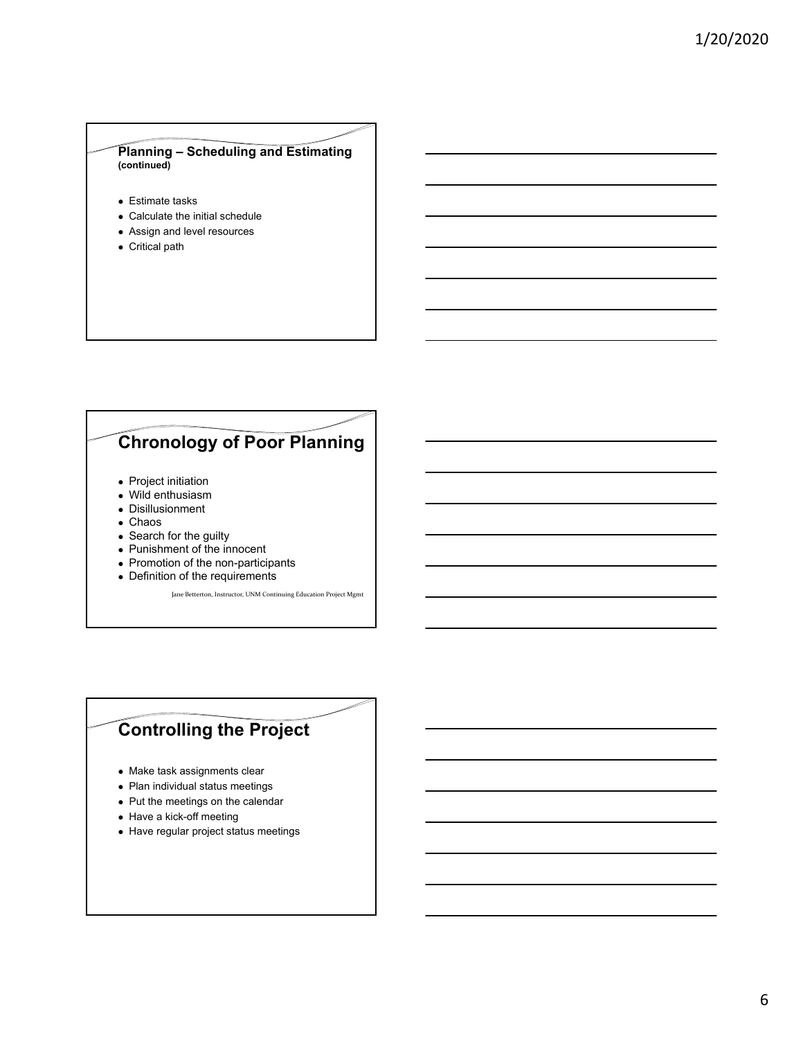### **Planning – Scheduling and Estimating (continued)**

- Estimate tasks
- Calculate the initial schedule
- Assign and level resources
- Critical path

## **Chronology of Poor Planning**

- Project initiation
- Wild enthusiasm
- Disillusionment
- Chaos
- Search for the guilty
- Punishment of the innocent
- Promotion of the non-participants
- Definition of the requirements

Jane Betterton, Instructor, UNM Continuing Education Project Mgmt

### **Controlling the Project**

- Make task assignments clear
- Plan individual status meetings
- Put the meetings on the calendar
- Have a kick-off meeting
- Have regular project status meetings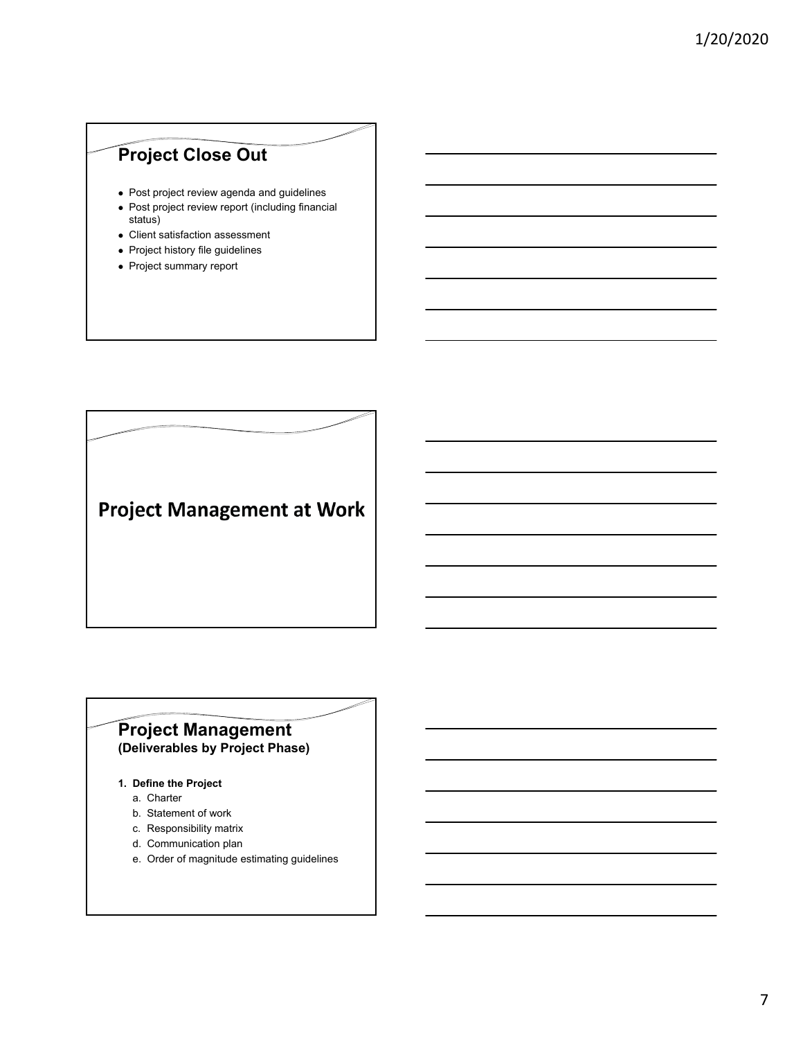# **Project Close Out**

- Post project review agenda and guidelines
- Post project review report (including financial status)
- Client satisfaction assessment
- Project history file guidelines • Project summary report

**Project Management at Work** 

### **Project Management (Deliverables by Project Phase)**

#### **1. Define the Project**

- a. Charter
- b. Statement of work
- c. Responsibility matrix
- d. Communication plan
- e. Order of magnitude estimating guidelines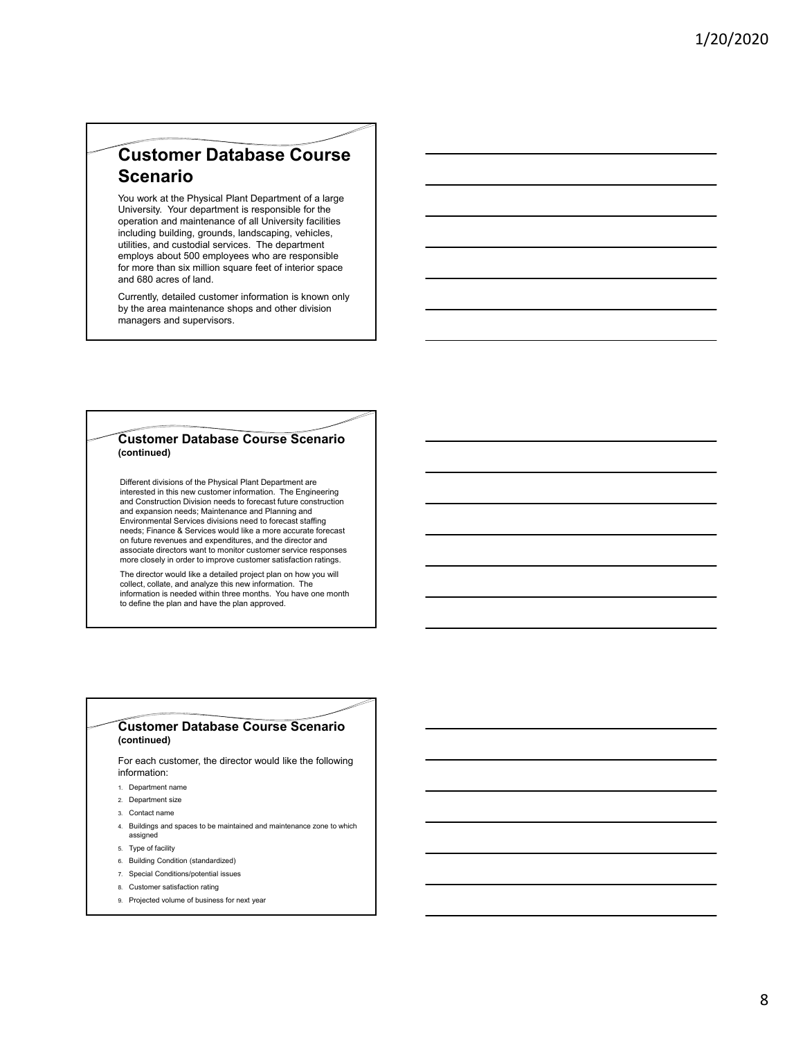## **Customer Database Course Scenario**

You work at the Physical Plant Department of a large University. Your department is responsible for the operation and maintenance of all University facilities including building, grounds, landscaping, vehicles, utilities, and custodial services. The department employs about 500 employees who are responsible for more than six million square feet of interior space and 680 acres of land.

Currently, detailed customer information is known only by the area maintenance shops and other division managers and supervisors.

#### **Customer Database Course Scenario (continued)**

Different divisions of the Physical Plant Department are interested in this new customer information. The Engineering and Construction Division needs to forecast future construction and expansion needs; Maintenance and Planning and Environmental Services divisions need to forecast staffing needs; Finance & Services would like a more accurate forecast on future revenues and expenditures, and the director and associate directors want to monitor customer service responses more closely in order to improve customer satisfaction ratings.

The director would like a detailed project plan on how you will collect, collate, and analyze this new information. The information is needed within three months. You have one month to define the plan and have the plan approved.

#### **Customer Database Course Scenario (continued)**

For each customer, the director would like the following information:

- 1. Department name
- 2. Department size
- 3. Contact name
- 4. Buildings and spaces to be maintained and maintenance zone to which assigned
- 5. Type of facility
- 6. Building Condition (standardized)
- 7. Special Conditions/potential issues
- 8. Customer satisfaction rating
- 9. Projected volume of business for next year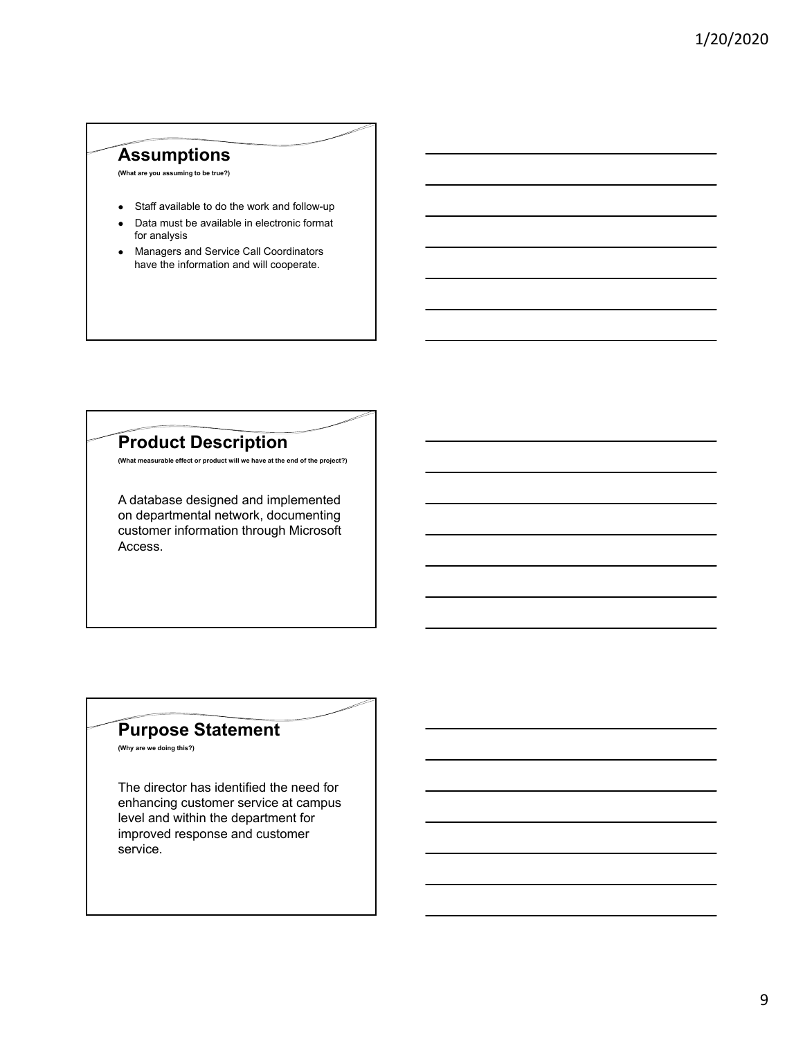### **Assumptions**

**(What are you assuming to be true?)**

- Staff available to do the work and follow-up
- Data must be available in electronic format for analysis
- Managers and Service Call Coordinators have the information and will cooperate.

## **Product Description**

**(What measurable effect or product will we have at the end of the project?)**

A database designed and implemented on departmental network, documenting customer information through Microsoft Access.

## **Purpose Statement**

**(Why are we doing this?)**

The director has identified the need for enhancing customer service at campus level and within the department for improved response and customer service.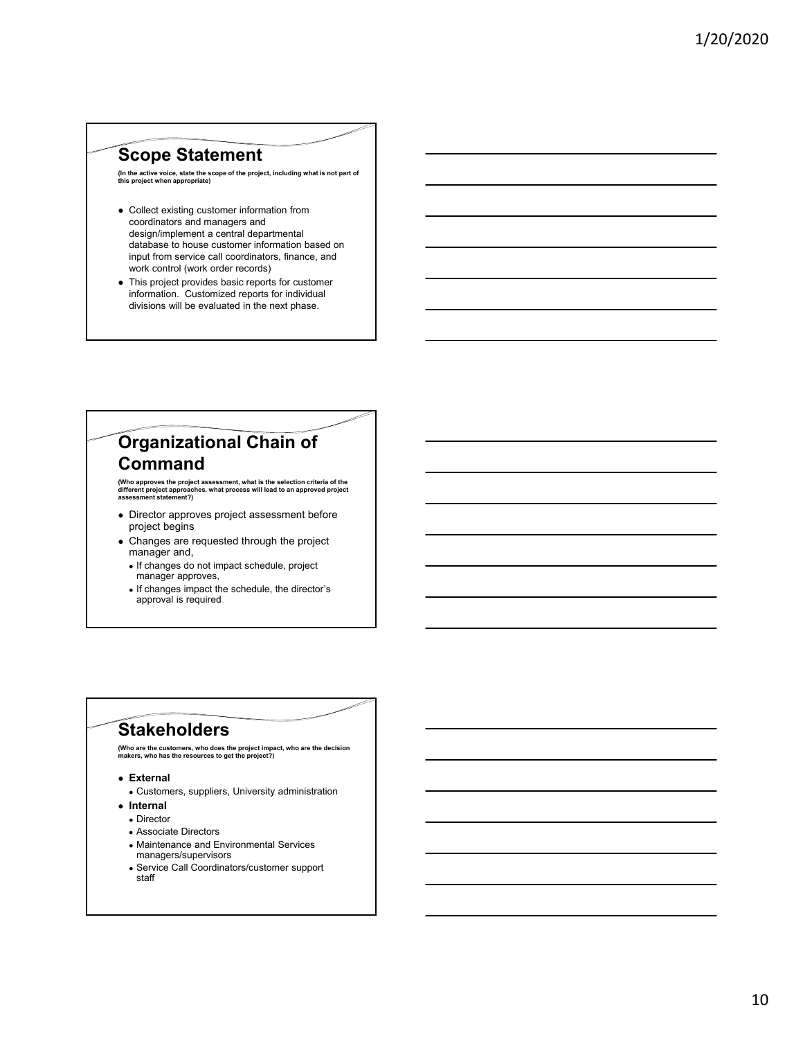### **Scope Statement**

**(In the active voice, state the scope of the project, including what is not part of this project when appropriate)**

- Collect existing customer information from coordinators and managers and design/implement a central departmental database to house customer information based on input from service call coordinators, finance, and work control (work order records)
- This project provides basic reports for customer information. Customized reports for individual divisions will be evaluated in the next phase.

## **Organizational Chain of Command**

**(Who approves the project assessment, what is the selection criteria of the different project approaches, what process will lead to an approved project assessment statement?)**

- Director approves project assessment before project begins
- Changes are requested through the project manager and,
	- If changes do not impact schedule, project manager approves,
	- If changes impact the schedule, the director's approval is required

### **Stakeholders**

**(Who are the customers, who does the project impact, who are the decision makers, who has the resources to get the project?)**

- **External**
	- Customers, suppliers, University administration
- **Internal**
	- Director
	- Associate Directors
	- Maintenance and Environmental Services managers/supervisors
	- Service Call Coordinators/customer support staff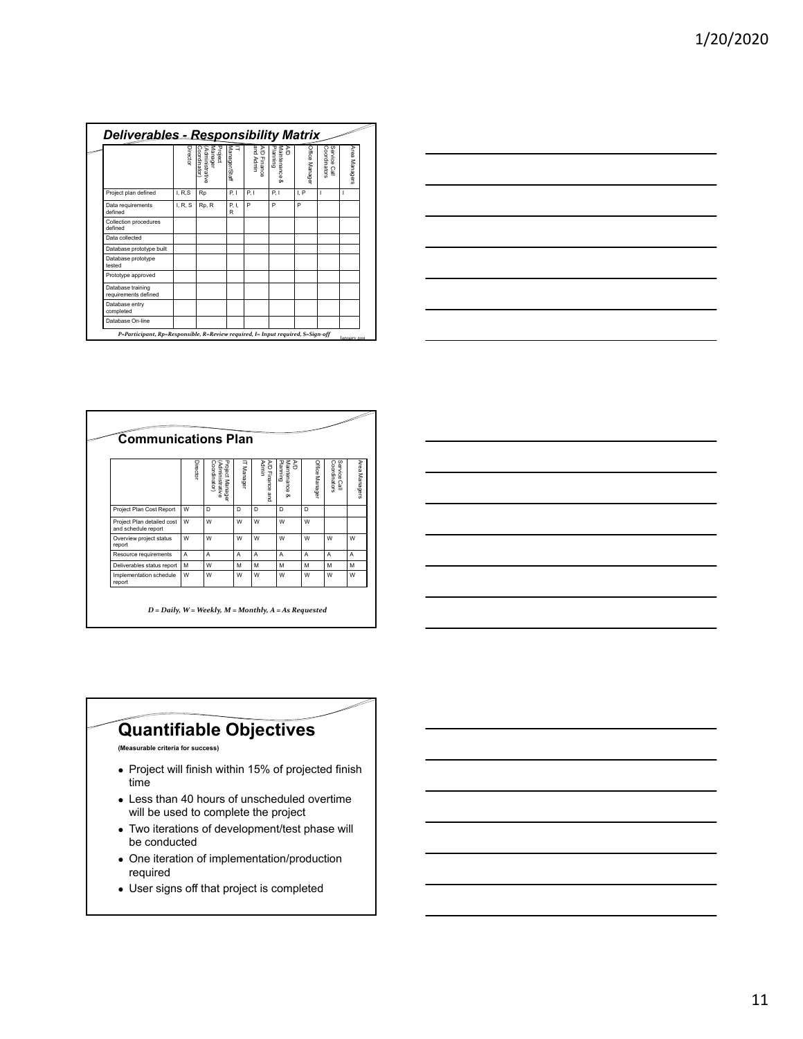|                                           | Directo | Project<br>Manager<br>(Administrative<br>Coordinator | Manager/Staff<br>⊐ | and Admin<br>옴<br>Finance | Maintenance<br>Planning<br>옭<br>$\infty$ | Office Manage | Service<br>Coordinators<br>Call | Area<br>Managers |
|-------------------------------------------|---------|------------------------------------------------------|--------------------|---------------------------|------------------------------------------|---------------|---------------------------------|------------------|
| Project plan defined                      | I. R.S  | Rp                                                   | P.1                | P.1                       | P.1                                      | I.P           | I                               | ı                |
| Data requirements<br>defined              | I. R. S | Rp, R                                                | P. I.<br>R         | P                         | P                                        | P             |                                 |                  |
| Collection procedures<br>defined          |         |                                                      |                    |                           |                                          |               |                                 |                  |
| Data collected                            |         |                                                      |                    |                           |                                          |               |                                 |                  |
| Database prototype built                  |         |                                                      |                    |                           |                                          |               |                                 |                  |
| Database prototype<br>tested              |         |                                                      |                    |                           |                                          |               |                                 |                  |
| Prototype approved                        |         |                                                      |                    |                           |                                          |               |                                 |                  |
| Database training<br>requirements defined |         |                                                      |                    |                           |                                          |               |                                 |                  |
| Database entry<br>completed               |         |                                                      |                    |                           |                                          |               |                                 |                  |
| Database On-line                          |         |                                                      |                    |                           |                                          |               |                                 |                  |



|                                                   | Director | Project Manager<br>Coordinator<br>Administrative | IT Manager | Admin<br>A/D Finance and | Planning<br>Maintenance<br>š<br>$\infty$ | Office Manager | Service<br>Coordinators<br>Call | Area Managers |
|---------------------------------------------------|----------|--------------------------------------------------|------------|--------------------------|------------------------------------------|----------------|---------------------------------|---------------|
| Project Plan Cost Report                          | W        | D.                                               | D          | D.                       | D                                        | D              |                                 |               |
| Project Plan detailed cost<br>and schedule report | W        | W                                                | w          | W                        | w                                        | W              |                                 |               |
| Overview project status<br>report                 | W        | W                                                | w          | W                        | w                                        | w              | W                               | w             |
| Resource requirements                             | A        | $\mathsf{A}$                                     | A          | A                        | A                                        | A              | A                               | A             |
| Deliverables status report                        | M        | w                                                | м          | M                        | м                                        | м              | М                               | м             |
| Implementation schedule<br>report                 | W        | W                                                | w          | W                        | w                                        | W              | W                               | W             |

## **Quantifiable Objectives**

**(Measurable criteria for success)**

- Project will finish within 15% of projected finish time
- Less than 40 hours of unscheduled overtime will be used to complete the project
- Two iterations of development/test phase will be conducted
- One iteration of implementation/production required
- User signs off that project is completed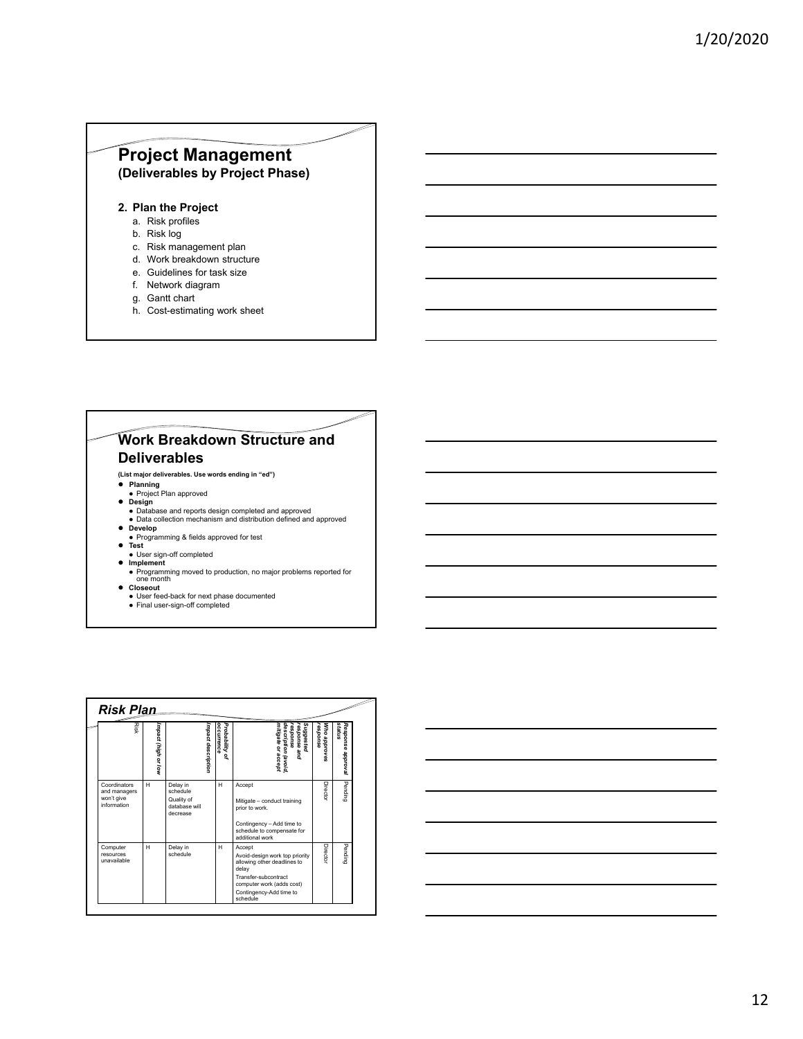### **Project Management (Deliverables by Project Phase)**

#### **2. Plan the Project**

- a. Risk profiles
- b. Risk log
- c. Risk management plan
- d. Work breakdown structure
- e. Guidelines for task size
- f. Network diagram
- g. Gantt chart
- h. Cost-estimating work sheet

### **Work Breakdown Structure and Deliverables**

- **(List major deliverables. Use words ending in "ed")**
- 
- 
- **Planning**<br> **Project Plan approved**<br> **Design**<br> **Database and reports design completed and approved<br>
<b>•** Data collection mechanism and distribution defined and approved
- 
- **Develop** Programming & fields approved for test **Test**
- User sign-off completed
- 
- **Implement** Programming moved to production, no major problems reported for one month
- 
- **Closeout** User feed-back for next phase documented Final user-sign-off completed

| Impact (high or low<br>Impact description<br>occurrence<br>Probability of<br>description (avoid<br>mitigate or accept<br>response<br>response and<br>Suggested<br>response<br>H<br>н<br>Delay in<br>Accept<br>schedule<br>Quality of<br>Mitigate - conduct training<br>database will<br>prior to work.<br>decrease<br>Contingency - Add time to<br>schedule to compensate for<br>additional work | status<br>Response approval<br>Who approves | Pending                                                   | Pending                              |
|--------------------------------------------------------------------------------------------------------------------------------------------------------------------------------------------------------------------------------------------------------------------------------------------------------------------------------------------------------------------------------------------------|---------------------------------------------|-----------------------------------------------------------|--------------------------------------|
| H<br>н<br>Delay in<br>Accept<br>schedule<br>allowing other deadlines to                                                                                                                                                                                                                                                                                                                          |                                             | Director                                                  | Director                             |
|                                                                                                                                                                                                                                                                                                                                                                                                  |                                             |                                                           | Avoid-design work top priority       |
|                                                                                                                                                                                                                                                                                                                                                                                                  |                                             |                                                           |                                      |
|                                                                                                                                                                                                                                                                                                                                                                                                  |                                             |                                                           |                                      |
|                                                                                                                                                                                                                                                                                                                                                                                                  |                                             |                                                           |                                      |
|                                                                                                                                                                                                                                                                                                                                                                                                  |                                             | Coordinators<br>and managers<br>won't give<br>information | Computer<br>resources<br>unavailable |

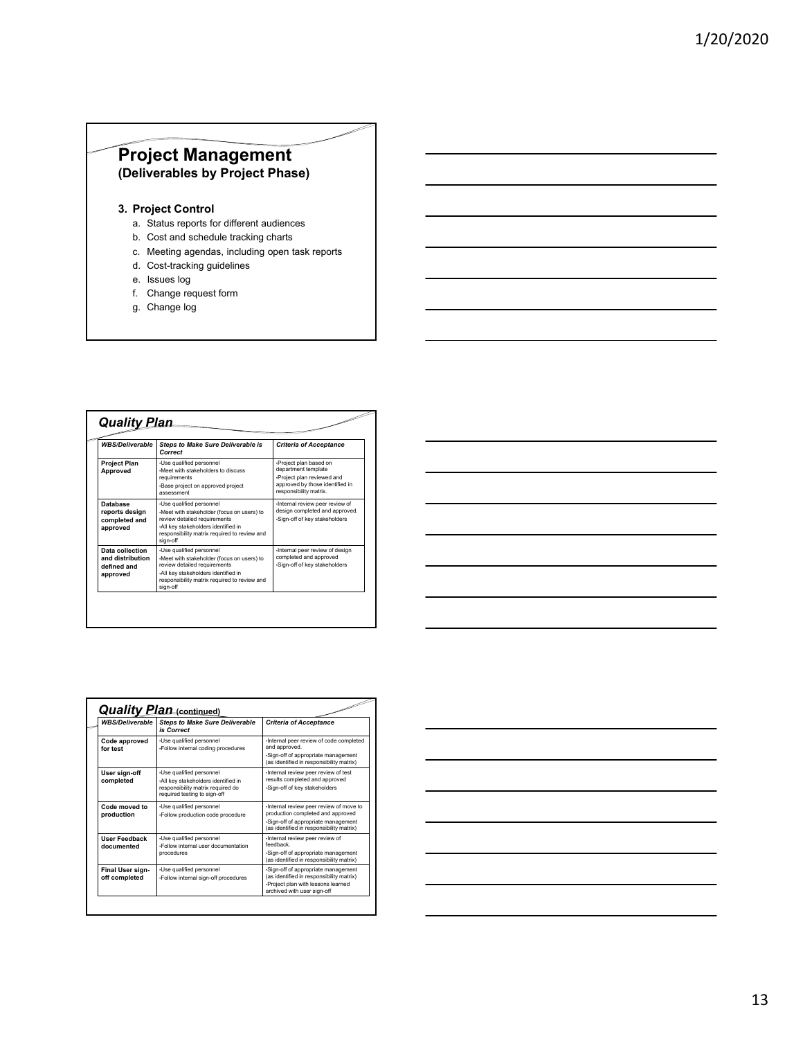### **Project Management (Deliverables by Project Phase)**

### **3. Project Control**

- a. Status reports for different audiences
- b. Cost and schedule tracking charts
- c. Meeting agendas, including open task reports
- d. Cost-tracking guidelines
- e. Issues log
- f. Change request form
- g. Change log

| <b>WBS/Deliverable</b>                                         | <b>Steps to Make Sure Deliverable is</b><br>Correct                                                                                                                                                       | <b>Criteria of Acceptance</b>                                                                                                            |
|----------------------------------------------------------------|-----------------------------------------------------------------------------------------------------------------------------------------------------------------------------------------------------------|------------------------------------------------------------------------------------------------------------------------------------------|
| <b>Project Plan</b><br>Approved                                | ·Use qualified personnel<br>-Meet with stakeholders to discuss<br>requirements<br>-Base project on approved project<br>assessment                                                                         | -Project plan based on<br>department template<br>-Project plan reviewed and<br>approved by those identified in<br>responsibility matrix. |
| <b>Database</b><br>reports design<br>completed and<br>approved | ·Use qualified personnel<br>-Meet with stakeholder (focus on users) to<br>review detailed requirements<br>-All key stakeholders identified in<br>responsibility matrix required to review and<br>sian-off | -Internal review peer review of<br>design completed and approved.<br>-Sign-off of key stakeholders                                       |
| Data collection<br>and distribution<br>defined and<br>approved | ·Use qualified personnel<br>-Meet with stakeholder (focus on users) to<br>review detailed requirements<br>-All key stakeholders identified in<br>responsibility matrix required to review and<br>sign-off | -Internal peer review of design<br>completed and approved<br>-Sign-off of key stakeholders                                               |

|  | <u> 1989 - Andrea Santa Andrea Andrea Andrea Andrea Andrea Andrea Andrea Andrea Andrea Andrea Andrea Andrea Andr</u> |  |
|--|----------------------------------------------------------------------------------------------------------------------|--|
|  |                                                                                                                      |  |
|  | <u> 1989 - Andrea Santa Andrea Andrea Andrea Andrea Andrea Andrea Andrea Andrea Andrea Andrea Andrea Andrea Andr</u> |  |
|  |                                                                                                                      |  |
|  |                                                                                                                      |  |
|  |                                                                                                                      |  |
|  | and the contract of the contract of the contract of the contract of the contract of the contract of the contract of  |  |

| <b>WBS/Deliverable</b>             | <b>Steps to Make Sure Deliverable</b><br>is Correct                                                                                  | <b>Criteria of Acceptance</b>                                                                                                                                   |
|------------------------------------|--------------------------------------------------------------------------------------------------------------------------------------|-----------------------------------------------------------------------------------------------------------------------------------------------------------------|
| Code approved<br>for test          | ·Use qualified personnel<br>-Follow internal coding procedures                                                                       | -Internal peer review of code completed<br>and approved.<br>·Sign-off of appropriate management<br>(as identified in responsibility matrix)                     |
| User sign-off<br>completed         | ·Use qualified personnel<br>-All key stakeholders identified in<br>responsibility matrix required do<br>required testing to sign-off | Internal review peer review of test<br>results completed and approved<br>-Sign-off of key stakeholders                                                          |
| Code moved to<br>production        | ·Use qualified personnel<br>.Follow production code procedure                                                                        | -Internal review peer review of move to<br>production completed and approved<br>-Sign-off of appropriate management<br>(as identified in responsibility matrix) |
| <b>User Feedback</b><br>documented | ·Use qualified personnel<br>.Follow internal user documentation<br>procedures                                                        | -Internal review peer review of<br>feedback<br>-Sign-off of appropriate management<br>(as identified in responsibility matrix)                                  |
| Final User sign-<br>off completed  | ·Use qualified personnel<br>-Follow internal sign-off procedures                                                                     | -Sign-off of appropriate management<br>(as identified in responsibility matrix)<br>-Project plan with lessons learned<br>archived with user sign-off            |

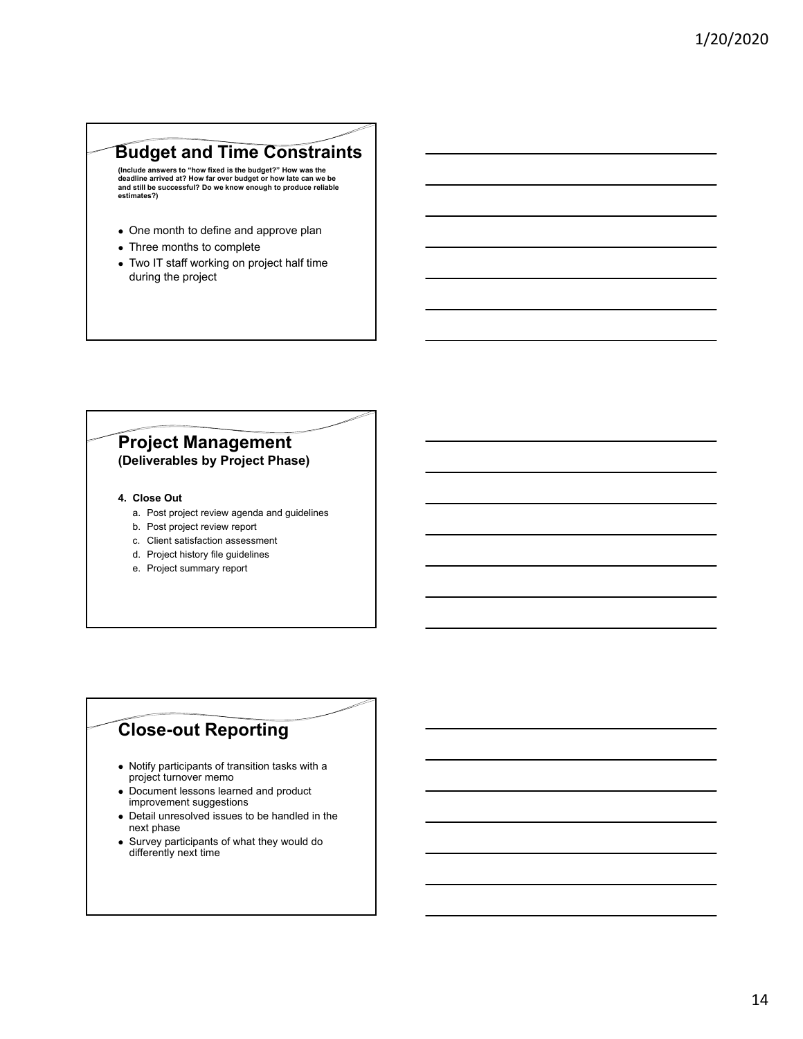### **Budget and Time Constraints**

**(Include answers to "how fixed is the budget?" How was the deadline arrived at? How far over budget or how late can we be and still be successful? Do we know enough to produce reliable estimates?)**

- One month to define and approve plan
- Three months to complete
- Two IT staff working on project half time during the project

### **Project Management (Deliverables by Project Phase)**

- **4. Close Out**
	- a. Post project review agenda and guidelines
	- b. Post project review report
	- c. Client satisfaction assessment
	- d. Project history file guidelines
	- e. Project summary report

## **Close-out Reporting**

- Notify participants of transition tasks with a project turnover memo
- Document lessons learned and product improvement suggestions
- Detail unresolved issues to be handled in the next phase
- Survey participants of what they would do differently next time